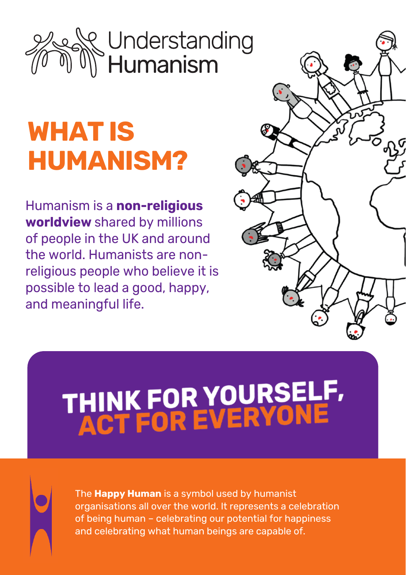## Understanding<br>Humanism

### **WHAT IS HUMANISM?**

Humanism is a **non-religious worldview** shared by millions of people in the UK and around the world. Humanists are nonreligious people who believe it is possible to lead a good, happy, and meaningful life.



# THINK FOR YOURSELF,<br>ACT FOR EVERYONE

The **Happy Human** is a symbol used by humanist organisations all over the world. It represents a celebration of being human – celebrating our potential for happiness and celebrating what human beings are capable of.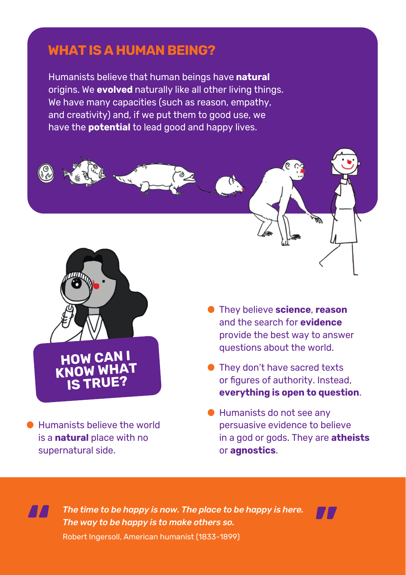#### **WHAT IS A HUMAN BEING?**

Humanists believe that human beings have **natural**  origins. We **evolved** naturally like all other living things. We have many capacities (such as reason, empathy, and creativity) and, if we put them to good use, we have the **potential** to lead good and happy lives.



● Humanists believe the world is a **natural** place with no supernatural side.

**"**

- They believe **science**, **reason** and the search for **evidence** provide the best way to answer questions about the world.
- They don't have sacred texts or figures of authority. Instead, **everything is open to question**.
- Humanists do not see any persuasive evidence to believe in a god or gods. They are **atheists** or **agnostics**.

*The time to be happy is now. The place to be happy is here. The way to be happy is to make others so.*



Robert Ingersoll, American humanist (1833-1899)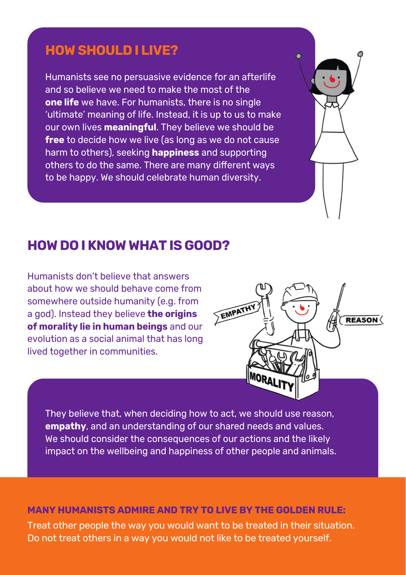#### **HOW SHOULD I LIVE?**

Humanists see no persuasive evidence for an afterlife and so believe we need to make the most of the **one life** we have. For humanists, there is no single 'ultimate' meaning of life. Instead, it is up to us to make our own lives **meaningful**. They believe we should be **free** to decide how we live (as long as we do not cause harm to others), seeking **happiness** and supporting others to do the same. There are many different ways to be happy. We should celebrate human diversity.

#### **HOW DO I KNOW WHAT IS GOOD?**

Humanists don't believe that answers about how we should behave come from somewhere outside humanity (e.g. from a god). Instead they believe **the origins of morality lie in human beings** and our evolution as a social animal that has long lived together in communities.



They believe that, when deciding how to act, we should use reason, **empathy**, and an understanding of our shared needs and values. We should consider the consequences of our actions and the likely impact on the wellbeing and happiness of other people and animals.

#### **MANY HUMANISTS ADMIRE AND TRY TO LIVE BY THE GOLDEN RULE:**

Treat other people the way you would want to be treated in their situation. Do not treat others in a way you would not like to be treated yourself.